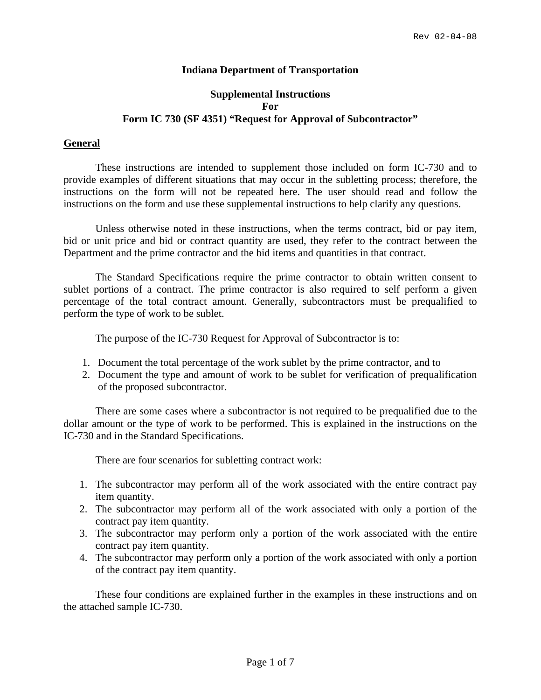## **Indiana Department of Transportation**

# **Supplemental Instructions For Form IC 730 (SF 4351) "Request for Approval of Subcontractor"**

## **General**

These instructions are intended to supplement those included on form IC-730 and to provide examples of different situations that may occur in the subletting process; therefore, the instructions on the form will not be repeated here. The user should read and follow the instructions on the form and use these supplemental instructions to help clarify any questions.

Unless otherwise noted in these instructions, when the terms contract, bid or pay item, bid or unit price and bid or contract quantity are used, they refer to the contract between the Department and the prime contractor and the bid items and quantities in that contract.

The Standard Specifications require the prime contractor to obtain written consent to sublet portions of a contract. The prime contractor is also required to self perform a given percentage of the total contract amount. Generally, subcontractors must be prequalified to perform the type of work to be sublet.

The purpose of the IC-730 Request for Approval of Subcontractor is to:

- 1. Document the total percentage of the work sublet by the prime contractor, and to
- 2. Document the type and amount of work to be sublet for verification of prequalification of the proposed subcontractor.

There are some cases where a subcontractor is not required to be prequalified due to the dollar amount or the type of work to be performed. This is explained in the instructions on the IC-730 and in the Standard Specifications.

There are four scenarios for subletting contract work:

- 1. The subcontractor may perform all of the work associated with the entire contract pay item quantity.
- 2. The subcontractor may perform all of the work associated with only a portion of the contract pay item quantity.
- 3. The subcontractor may perform only a portion of the work associated with the entire contract pay item quantity.
- 4. The subcontractor may perform only a portion of the work associated with only a portion of the contract pay item quantity.

These four conditions are explained further in the examples in these instructions and on the attached sample IC-730.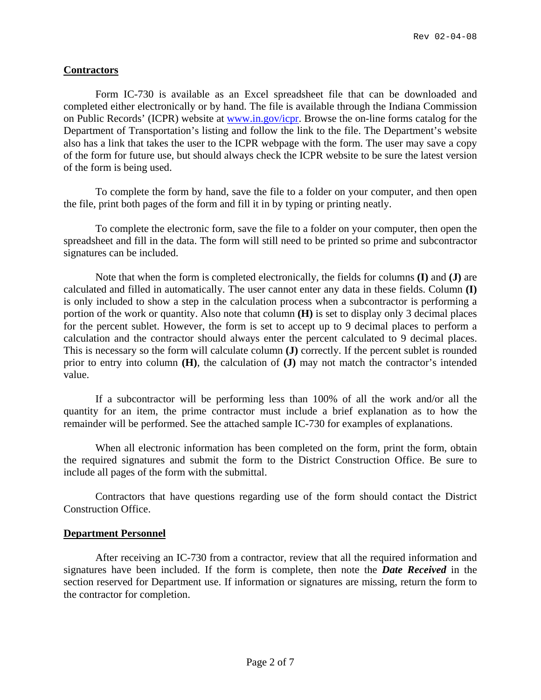# **Contractors**

Form IC-730 is available as an Excel spreadsheet file that can be downloaded and completed either electronically or by hand. The file is available through the Indiana Commission on Public Records' (ICPR) website at [www.in.gov/icpr](http://www.in.gov/icpr). Browse the on-line forms catalog for the Department of Transportation's listing and follow the link to the file. The Department's website also has a link that takes the user to the ICPR webpage with the form. The user may save a copy of the form for future use, but should always check the ICPR website to be sure the latest version of the form is being used.

To complete the form by hand, save the file to a folder on your computer, and then open the file, print both pages of the form and fill it in by typing or printing neatly.

To complete the electronic form, save the file to a folder on your computer, then open the spreadsheet and fill in the data. The form will still need to be printed so prime and subcontractor signatures can be included.

Note that when the form is completed electronically, the fields for columns **(I)** and **(J)** are calculated and filled in automatically. The user cannot enter any data in these fields. Column **(I)** is only included to show a step in the calculation process when a subcontractor is performing a portion of the work or quantity. Also note that column **(H)** is set to display only 3 decimal places for the percent sublet. However, the form is set to accept up to 9 decimal places to perform a calculation and the contractor should always enter the percent calculated to 9 decimal places. This is necessary so the form will calculate column **(J)** correctly. If the percent sublet is rounded prior to entry into column **(H)**, the calculation of **(J)** may not match the contractor's intended value.

If a subcontractor will be performing less than 100% of all the work and/or all the quantity for an item, the prime contractor must include a brief explanation as to how the remainder will be performed. See the attached sample IC-730 for examples of explanations.

When all electronic information has been completed on the form, print the form, obtain the required signatures and submit the form to the District Construction Office. Be sure to include all pages of the form with the submittal.

Contractors that have questions regarding use of the form should contact the District Construction Office.

### **Department Personnel**

After receiving an IC-730 from a contractor, review that all the required information and signatures have been included. If the form is complete, then note the *Date Received* in the section reserved for Department use. If information or signatures are missing, return the form to the contractor for completion.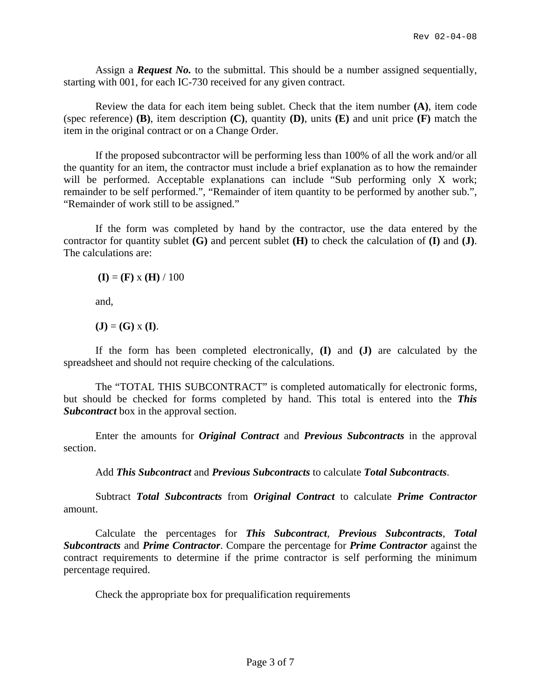Assign a *Request No.* to the submittal. This should be a number assigned sequentially, starting with 001, for each IC-730 received for any given contract.

Review the data for each item being sublet. Check that the item number **(A)**, item code (spec reference) **(B)**, item description **(C)**, quantity **(D)**, units **(E)** and unit price **(F)** match the item in the original contract or on a Change Order.

If the proposed subcontractor will be performing less than 100% of all the work and/or all the quantity for an item, the contractor must include a brief explanation as to how the remainder will be performed. Acceptable explanations can include "Sub performing only X work; remainder to be self performed.", "Remainder of item quantity to be performed by another sub.", "Remainder of work still to be assigned."

If the form was completed by hand by the contractor, use the data entered by the contractor for quantity sublet **(G)** and percent sublet **(H)** to check the calculation of **(I)** and **(J)**. The calculations are:

 $(I) = (F) \times (H) / 100$ 

and,

 $(\mathbf{J}) = (\mathbf{G}) \times (\mathbf{I}).$ 

If the form has been completed electronically, **(I)** and **(J)** are calculated by the spreadsheet and should not require checking of the calculations.

The "TOTAL THIS SUBCONTRACT" is completed automatically for electronic forms, but should be checked for forms completed by hand. This total is entered into the *This Subcontract* box in the approval section.

Enter the amounts for *Original Contract* and *Previous Subcontracts* in the approval section.

Add *This Subcontract* and *Previous Subcontracts* to calculate *Total Subcontracts*.

Subtract *Total Subcontracts* from *Original Contract* to calculate *Prime Contractor* amount.

Calculate the percentages for *This Subcontract*, *Previous Subcontracts*, *Total Subcontracts* and *Prime Contractor*. Compare the percentage for *Prime Contractor* against the contract requirements to determine if the prime contractor is self performing the minimum percentage required.

Check the appropriate box for prequalification requirements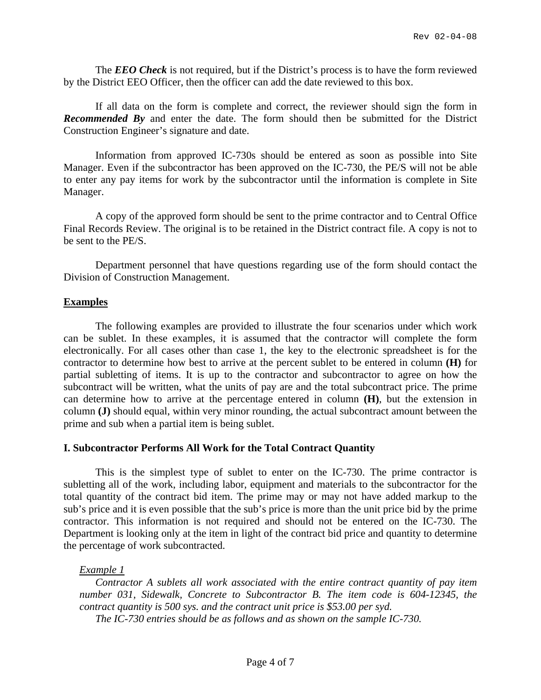The *EEO Check* is not required, but if the District's process is to have the form reviewed by the District EEO Officer, then the officer can add the date reviewed to this box.

If all data on the form is complete and correct, the reviewer should sign the form in *Recommended By* and enter the date. The form should then be submitted for the District Construction Engineer's signature and date.

Information from approved IC-730s should be entered as soon as possible into Site Manager. Even if the subcontractor has been approved on the IC-730, the PE/S will not be able to enter any pay items for work by the subcontractor until the information is complete in Site Manager.

A copy of the approved form should be sent to the prime contractor and to Central Office Final Records Review. The original is to be retained in the District contract file. A copy is not to be sent to the PE/S.

Department personnel that have questions regarding use of the form should contact the Division of Construction Management.

#### **Examples**

The following examples are provided to illustrate the four scenarios under which work can be sublet. In these examples, it is assumed that the contractor will complete the form electronically. For all cases other than case 1, the key to the electronic spreadsheet is for the contractor to determine how best to arrive at the percent sublet to be entered in column **(H)** for partial subletting of items. It is up to the contractor and subcontractor to agree on how the subcontract will be written, what the units of pay are and the total subcontract price. The prime can determine how to arrive at the percentage entered in column **(H)**, but the extension in column **(J)** should equal, within very minor rounding, the actual subcontract amount between the prime and sub when a partial item is being sublet.

### **I. Subcontractor Performs All Work for the Total Contract Quantity**

This is the simplest type of sublet to enter on the IC-730. The prime contractor is subletting all of the work, including labor, equipment and materials to the subcontractor for the total quantity of the contract bid item. The prime may or may not have added markup to the sub's price and it is even possible that the sub's price is more than the unit price bid by the prime contractor. This information is not required and should not be entered on the IC-730. The Department is looking only at the item in light of the contract bid price and quantity to determine the percentage of work subcontracted.

*Example 1*

*Contractor A sublets all work associated with the entire contract quantity of pay item number 031, Sidewalk, Concrete to Subcontractor B. The item code is 604-12345, the contract quantity is 500 sys. and the contract unit price is \$53.00 per syd.* 

*The IC-730 entries should be as follows and as shown on the sample IC-730.*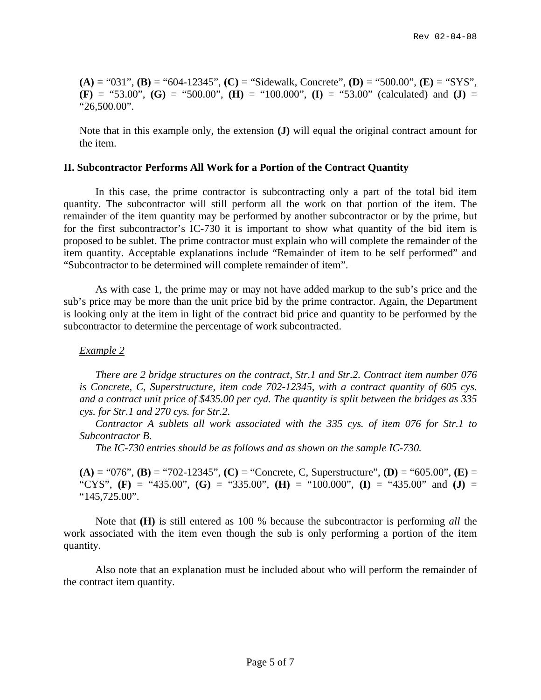**(A) =** "031", **(B)** = "604-12345", **(C)** = "Sidewalk, Concrete", **(D)** = "500.00", **(E)** = "SYS",  $(F) =$  "53.00",  $(G) =$  "500.00",  $(H) =$  "100.000",  $(I) =$  "53.00" (calculated) and  $(J) =$ "26,500.00".

Note that in this example only, the extension **(J)** will equal the original contract amount for the item.

### **II. Subcontractor Performs All Work for a Portion of the Contract Quantity**

In this case, the prime contractor is subcontracting only a part of the total bid item quantity. The subcontractor will still perform all the work on that portion of the item. The remainder of the item quantity may be performed by another subcontractor or by the prime, but for the first subcontractor's IC-730 it is important to show what quantity of the bid item is proposed to be sublet. The prime contractor must explain who will complete the remainder of the item quantity. Acceptable explanations include "Remainder of item to be self performed" and "Subcontractor to be determined will complete remainder of item".

As with case 1, the prime may or may not have added markup to the sub's price and the sub's price may be more than the unit price bid by the prime contractor. Again, the Department is looking only at the item in light of the contract bid price and quantity to be performed by the subcontractor to determine the percentage of work subcontracted.

# *Example 2*

 *There are 2 bridge structures on the contract, Str.1 and Str.2. Contract item number 076 is Concrete, C, Superstructure, item code 702-12345, with a contract quantity of 605 cys. and a contract unit price of \$435.00 per cyd. The quantity is split between the bridges as 335 cys. for Str.1 and 270 cys. for Str.2.* 

 *Contractor A sublets all work associated with the 335 cys. of item 076 for Str.1 to Subcontractor B.* 

 *The IC-730 entries should be as follows and as shown on the sample IC-730.* 

**(A) =** "076", **(B)** = "702-12345", **(C)** = "Concrete, C, Superstructure", **(D)** = "605.00", **(E)** = "CYS", **(F)** = "435.00", **(G)** = "335.00", **(H)** = "100.000", **(I)** = "435.00" and **(J)** = "145,725.00".

Note that **(H)** is still entered as 100 % because the subcontractor is performing *all* the work associated with the item even though the sub is only performing a portion of the item quantity.

Also note that an explanation must be included about who will perform the remainder of the contract item quantity.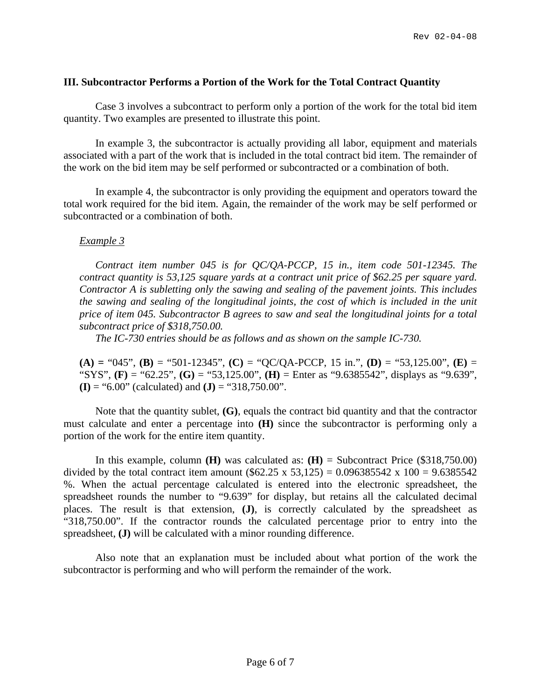# **III. Subcontractor Performs a Portion of the Work for the Total Contract Quantity**

Case 3 involves a subcontract to perform only a portion of the work for the total bid item quantity. Two examples are presented to illustrate this point.

In example 3, the subcontractor is actually providing all labor, equipment and materials associated with a part of the work that is included in the total contract bid item. The remainder of the work on the bid item may be self performed or subcontracted or a combination of both.

In example 4, the subcontractor is only providing the equipment and operators toward the total work required for the bid item. Again, the remainder of the work may be self performed or subcontracted or a combination of both.

# *Example 3*

 *Contract item number 045 is for QC/QA-PCCP, 15 in., item code 501-12345. The contract quantity is 53,125 square yards at a contract unit price of \$62.25 per square yard. Contractor A is subletting only the sawing and sealing of the pavement joints. This includes the sawing and sealing of the longitudinal joints, the cost of which is included in the unit price of item 045. Subcontractor B agrees to saw and seal the longitudinal joints for a total subcontract price of \$318,750.00.* 

 *The IC-730 entries should be as follows and as shown on the sample IC-730.* 

**(A) =** "045", **(B)** = "501-12345", **(C)** = "QC/QA-PCCP, 15 in.", **(D)** = "53,125.00", **(E)** = "SYS", **(F)** = "62.25", **(G)** = "53,125.00", **(H)** = Enter as "9.6385542", displays as "9.639", **(I)** = "6.00" (calculated) and **(J)** = "318,750.00".

Note that the quantity sublet, **(G)**, equals the contract bid quantity and that the contractor must calculate and enter a percentage into **(H)** since the subcontractor is performing only a portion of the work for the entire item quantity.

In this example, column **(H)** was calculated as: **(H)** = Subcontract Price (\$318,750.00) divided by the total contract item amount  $(\$62.25 \times 53,125) = 0.096385542 \times 100 = 9.6385542$ %. When the actual percentage calculated is entered into the electronic spreadsheet, the spreadsheet rounds the number to "9.639" for display, but retains all the calculated decimal places. The result is that extension, **(J)**, is correctly calculated by the spreadsheet as "318,750.00". If the contractor rounds the calculated percentage prior to entry into the spreadsheet, **(J)** will be calculated with a minor rounding difference.

Also note that an explanation must be included about what portion of the work the subcontractor is performing and who will perform the remainder of the work.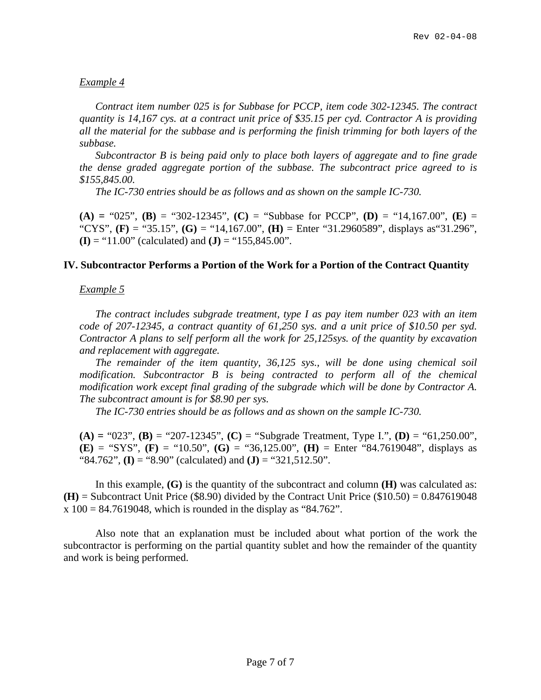# *Example 4*

 *Contract item number 025 is for Subbase for PCCP, item code 302-12345. The contract quantity is 14,167 cys. at a contract unit price of \$35.15 per cyd. Contractor A is providing all the material for the subbase and is performing the finish trimming for both layers of the subbase.* 

 *Subcontractor B is being paid only to place both layers of aggregate and to fine grade the dense graded aggregate portion of the subbase. The subcontract price agreed to is \$155,845.00.* 

 *The IC-730 entries should be as follows and as shown on the sample IC-730.* 

**(A) =** "025", **(B)** = "302-12345", **(C)** = "Subbase for PCCP", **(D)** = "14,167.00", **(E)** = "CYS", **(F)** = "35.15", **(G)** = "14,167.00", **(H)** = Enter "31.2960589", displays as"31.296", **(I)** = "11.00" (calculated) and **(J)** = "155,845.00".

## **IV. Subcontractor Performs a Portion of the Work for a Portion of the Contract Quantity**

## *Example 5*

 *The contract includes subgrade treatment, type I as pay item number 023 with an item code of 207-12345, a contract quantity of 61,250 sys. and a unit price of \$10.50 per syd. Contractor A plans to self perform all the work for 25,125sys. of the quantity by excavation and replacement with aggregate.* 

 *The remainder of the item quantity, 36,125 sys., will be done using chemical soil modification. Subcontractor B is being contracted to perform all of the chemical modification work except final grading of the subgrade which will be done by Contractor A. The subcontract amount is for \$8.90 per sys.* 

 *The IC-730 entries should be as follows and as shown on the sample IC-730.* 

**(A) =** "023", **(B)** = "207-12345", **(C)** = "Subgrade Treatment, Type I.", **(D)** = "61,250.00", **(E)** = "SYS", **(F)** = "10.50", **(G)** = "36,125.00", **(H)** = Enter "84.7619048", displays as "84.762", **(I)** = "8.90" (calculated) and **(J)** = "321,512.50".

In this example, **(G)** is the quantity of the subcontract and column **(H)** was calculated as:  $(H)$  = Subcontract Unit Price (\$8.90) divided by the Contract Unit Price (\$10.50) = 0.847619048  $x 100 = 84.7619048$ , which is rounded in the display as "84.762".

Also note that an explanation must be included about what portion of the work the subcontractor is performing on the partial quantity sublet and how the remainder of the quantity and work is being performed.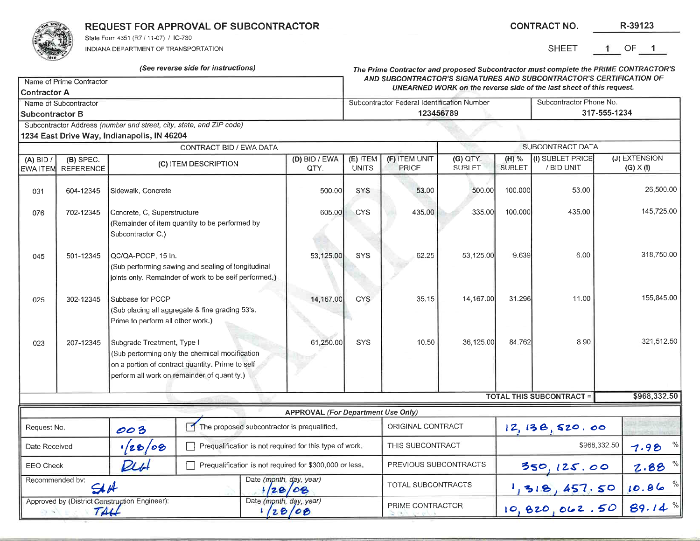

REQUEST FOR APPROVAL OF SUBCONTRACTOR

(See reverse side for instructions)

State Form 4351 (R7 / 11-07) / IC-730

INDIANA DEPARTMENT OF TRANSPORTATION

|                                                                                      | SHEET 1 OF |  |  |
|--------------------------------------------------------------------------------------|------------|--|--|
| The Prime Contractor and proposed Subcontractor must complete the PRIME CONTRACTOR'S |            |  |  |

**CONTRACT NO.** 

| Name of Prime Contractor                                                                                                                                                                            |                  |                                                                                                                                                                                                                                               |                                                                      | AND SUBCONTRACTOR'S SIGNATURES AND SUBCONTRACTOR'S CERTIFICATION OF<br>UNEARNED WORK on the reverse side of the last sheet of this request. |                                           |                                                                      |               |                                         |                 |                                 |              |
|-----------------------------------------------------------------------------------------------------------------------------------------------------------------------------------------------------|------------------|-----------------------------------------------------------------------------------------------------------------------------------------------------------------------------------------------------------------------------------------------|----------------------------------------------------------------------|---------------------------------------------------------------------------------------------------------------------------------------------|-------------------------------------------|----------------------------------------------------------------------|---------------|-----------------------------------------|-----------------|---------------------------------|--------------|
| <b>Contractor A</b>                                                                                                                                                                                 |                  |                                                                                                                                                                                                                                               |                                                                      |                                                                                                                                             |                                           |                                                                      |               |                                         |                 |                                 |              |
| Name of Subcontractor                                                                                                                                                                               |                  |                                                                                                                                                                                                                                               |                                                                      | Subcontractor Federal Identification Number<br>123456789                                                                                    |                                           |                                                                      |               | Subcontractor Phone No.<br>317-555-1234 |                 |                                 |              |
| <b>Subcontractor B</b>                                                                                                                                                                              |                  |                                                                                                                                                                                                                                               |                                                                      |                                                                                                                                             |                                           |                                                                      |               |                                         |                 |                                 |              |
|                                                                                                                                                                                                     |                  | 1234 East Drive Way, Indianapolis, IN 46204                                                                                                                                                                                                   | Subcontractor Address (number and street, city, state, and ZIP code) |                                                                                                                                             |                                           |                                                                      |               |                                         |                 |                                 |              |
|                                                                                                                                                                                                     |                  |                                                                                                                                                                                                                                               | CONTRACT BID / EWA DATA                                              |                                                                                                                                             |                                           |                                                                      |               |                                         |                 | SUBCONTRACT DATA                |              |
| $(A)$ BID /                                                                                                                                                                                         | (B) SPEC.        |                                                                                                                                                                                                                                               |                                                                      |                                                                                                                                             | (D) BID / EWA                             | (I) SUBLET PRICE<br>(F) ITEM UNIT<br>(G) QTY.<br>$(H)$ %<br>(E) ITEM |               |                                         |                 | (J) EXTENSION                   |              |
| <b>EWA ITEM</b>                                                                                                                                                                                     | <b>REFERENCE</b> | (C) ITEM DESCRIPTION                                                                                                                                                                                                                          |                                                                      | QTY.                                                                                                                                        | <b>UNITS</b>                              | PRICE                                                                | <b>SUBLET</b> | <b>SUBLET</b>                           | / BID UNIT      | $(G) \times (I)$                |              |
| 031                                                                                                                                                                                                 | 604-12345        | Sidewalk, Concrete                                                                                                                                                                                                                            |                                                                      |                                                                                                                                             | 500.00                                    | <b>SYS</b>                                                           | 53.00         | 500.00                                  | 100.000         | 53.00                           | 26,500.00    |
| 076                                                                                                                                                                                                 | 702-12345        | Concrete, C, Superstructure<br>(Remainder of item quantity to be performed by<br>Subcontractor C.)                                                                                                                                            |                                                                      |                                                                                                                                             | 605.00                                    | <b>CYS</b>                                                           | 435.00        | 335.00                                  | 100.000         | 435.00                          | 145,725.00   |
| 045                                                                                                                                                                                                 | 501-12345        | QC/QA-PCCP, 15 In.<br>(Sub performing sawing and sealing of longitudinal<br>joints only. Remainder of work to be self performed.)<br>Subbase for PCCP<br>(Sub placing all aggregate & fine grading 53's.<br>Prime to perform all other work.) |                                                                      |                                                                                                                                             | 53,125.00                                 | <b>SYS</b>                                                           | 62.25         | 53,125.00                               | 9.639           | 6.00                            | 318,750.00   |
| 025                                                                                                                                                                                                 | 302-12345        |                                                                                                                                                                                                                                               |                                                                      |                                                                                                                                             | 14,167.00                                 | <b>CYS</b>                                                           | 35.15         | 14,167.00                               | 31.296          | 11.00                           | 155,845.00   |
| 207-12345<br>Subgrade Treatment, Type I<br>023<br>(Sub performing only the chemical modification<br>on a portion of contract quantity. Prime to self<br>perform all work on remainder of quantity.) |                  |                                                                                                                                                                                                                                               | 61,250.00                                                            | SYS                                                                                                                                         | 10.50                                     | 36,125.00                                                            | 84.762        | 8.90                                    | 321,512.50      |                                 |              |
|                                                                                                                                                                                                     |                  |                                                                                                                                                                                                                                               |                                                                      |                                                                                                                                             |                                           |                                                                      |               |                                         |                 | <b>TOTAL THIS SUBCONTRACT =</b> | \$968,332.50 |
|                                                                                                                                                                                                     |                  |                                                                                                                                                                                                                                               |                                                                      |                                                                                                                                             | <b>APPROVAL (For Department Use Only)</b> |                                                                      |               |                                         |                 |                                 |              |
| ाज<br>The proposed subcontractor is prequalified.<br>Request No.<br>003                                                                                                                             |                  |                                                                                                                                                                                                                                               |                                                                      |                                                                                                                                             | ORIGINAL CONTRACT                         |                                                                      |               | 12, 138, 520.00                         |                 |                                 |              |
| 128/08<br>Date Received                                                                                                                                                                             |                  |                                                                                                                                                                                                                                               |                                                                      | Prequalification is not required for this type of work.                                                                                     |                                           | THIS SUBCONTRACT                                                     |               | \$968,332.50                            |                 | 7.98%                           |              |
| PLb<br><b>EEO Check</b>                                                                                                                                                                             |                  |                                                                                                                                                                                                                                               | Prequalification is not required for \$300,000 or less.              | PREVIOUS SUBCONTRACTS                                                                                                                       |                                           | 350, 125.00                                                          |               | $2.88$ %                                |                 |                                 |              |
| Recommended by:<br>SIН                                                                                                                                                                              |                  | Date (month, day, year)                                                                                                                                                                                                                       | 128/08                                                               |                                                                                                                                             | TOTAL SUBCONTRACTS                        |                                                                      | 1,318,457.50  | 10.86%                                  |                 |                                 |              |
| Approved by (District Construction Engineer):<br>TALL<br>-2.5                                                                                                                                       |                  |                                                                                                                                                                                                                                               | Date (month, day, year)                                              | 28/08                                                                                                                                       |                                           | PRIME CONTRACTOR                                                     |               |                                         | 10, 820, 062.50 | 89.14%                          |              |

R-39123